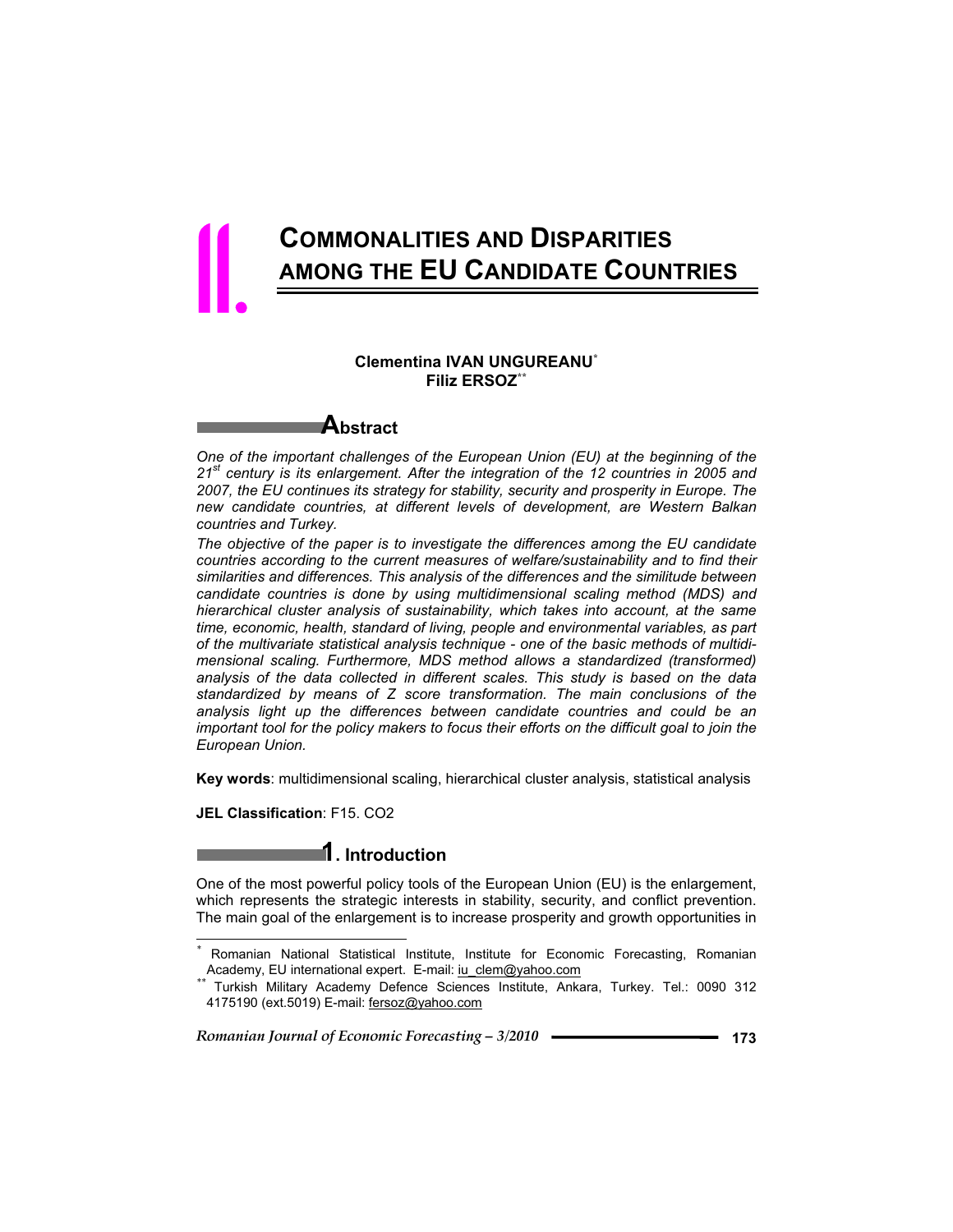## **COMMONALITIES AND DISPARITIES AMONG THE EU CANDIDATE COUNTRIES**

#### **Clementina IVAN UNGUREANU\* Filiz ERSOZ\*\***



11.

*One of the important challenges of the European Union (EU) at the beginning of the 21st century is its enlargement. After the integration of the 12 countries in 2005 and 2007, the EU continues its strategy for stability, security and prosperity in Europe. The new candidate countries, at different levels of development, are Western Balkan countries and Turkey.*

*The objective of the paper is to investigate the differences among the EU candidate countries according to the current measures of welfare/sustainability and to find their similarities and differences. This analysis of the differences and the similitude between candidate countries is done by using multidimensional scaling method (MDS) and hierarchical cluster analysis of sustainability, which takes into account, at the same time, economic, health, standard of living, people and environmental variables, as part of the multivariate statistical analysis technique - one of the basic methods of multidimensional scaling. Furthermore, MDS method allows a standardized (transformed) analysis of the data collected in different scales. This study is based on the data standardized by means of Z score transformation. The main conclusions of the analysis light up the differences between candidate countries and could be an important tool for the policy makers to focus their efforts on the difficult goal to join the European Union.*

**Key words**: multidimensional scaling, hierarchical cluster analysis, statistical analysis

**JEL Classification**: F15. CO2

 $\overline{a}$ 

## **1. Introduction**

One of the most powerful policy tools of the European Union (EU) is the enlargement, which represents the strategic interests in stability, security, and conflict prevention. The main goal of the enlargement is to increase prosperity and growth opportunities in

<sup>&</sup>lt;sup>\*</sup> Romanian National Statistical Institute, Institute for Economic Forecasting, Romanian Academy, EU international expert. E-mail: <u>iu clem@yahoo.com</u>

Turkish Military Academy Defence Sciences Institute, Ankara, Turkey. Tel.: 0090 312 4175190 (ext.5019) E-mail: fersoz@yahoo.com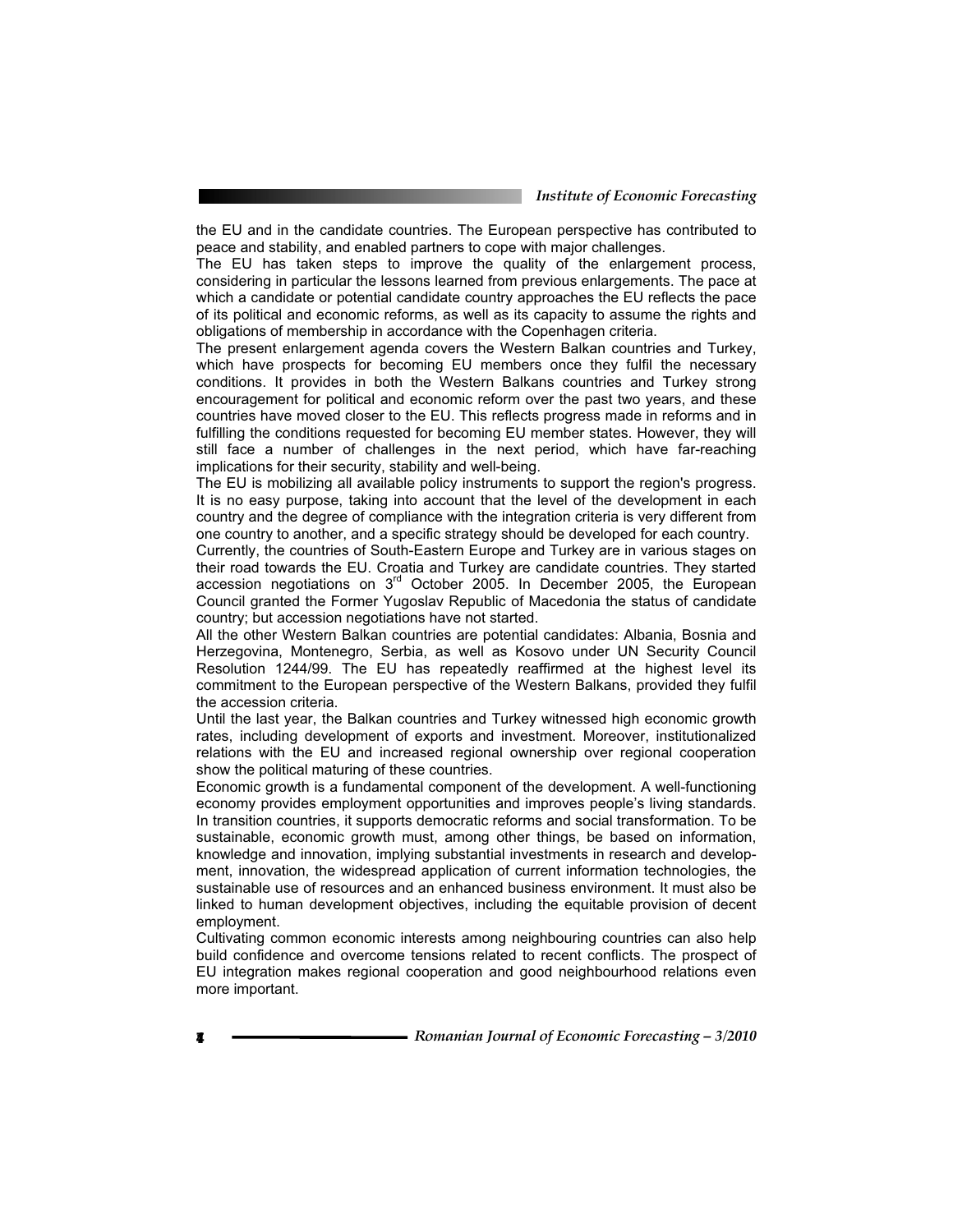the EU and in the candidate countries. The European perspective has contributed to peace and stability, and enabled partners to cope with major challenges.

The EU has taken steps to improve the quality of the enlargement process, considering in particular the lessons learned from previous enlargements. The pace at which a candidate or potential candidate country approaches the EU reflects the pace of its political and economic reforms, as well as its capacity to assume the rights and obligations of membership in accordance with the Copenhagen criteria.

The present enlargement agenda covers the Western Balkan countries and Turkey, which have prospects for becoming EU members once they fulfil the necessary conditions. It provides in both the Western Balkans countries and Turkey strong encouragement for political and economic reform over the past two years, and these countries have moved closer to the EU. This reflects progress made in reforms and in fulfilling the conditions requested for becoming EU member states. However, they will still face a number of challenges in the next period, which have far-reaching implications for their security, stability and well-being.

The EU is mobilizing all available policy instruments to support the region's progress. It is no easy purpose, taking into account that the level of the development in each country and the degree of compliance with the integration criteria is very different from one country to another, and a specific strategy should be developed for each country.

Currently, the countries of South-Eastern Europe and Turkey are in various stages on their road towards the EU. Croatia and Turkey are candidate countries. They started accession negotiations on  $3<sup>rd</sup>$  October 2005. In December 2005, the European Council granted the Former Yugoslav Republic of Macedonia the status of candidate country; but accession negotiations have not started.

All the other Western Balkan countries are potential candidates: Albania, Bosnia and Herzegovina, Montenegro, Serbia, as well as Kosovo under UN Security Council Resolution 1244/99. The EU has repeatedly reaffirmed at the highest level its commitment to the European perspective of the Western Balkans, provided they fulfil the accession criteria.

Until the last year, the Balkan countries and Turkey witnessed high economic growth rates, including development of exports and investment. Moreover, institutionalized relations with the EU and increased regional ownership over regional cooperation show the political maturing of these countries.

Economic growth is a fundamental component of the development. A well-functioning economy provides employment opportunities and improves people's living standards. In transition countries, it supports democratic reforms and social transformation. To be sustainable, economic growth must, among other things, be based on information, knowledge and innovation, implying substantial investments in research and development, innovation, the widespread application of current information technologies, the sustainable use of resources and an enhanced business environment. It must also be linked to human development objectives, including the equitable provision of decent employment.

Cultivating common economic interests among neighbouring countries can also help build confidence and overcome tensions related to recent conflicts. The prospect of EU integration makes regional cooperation and good neighbourhood relations even more important.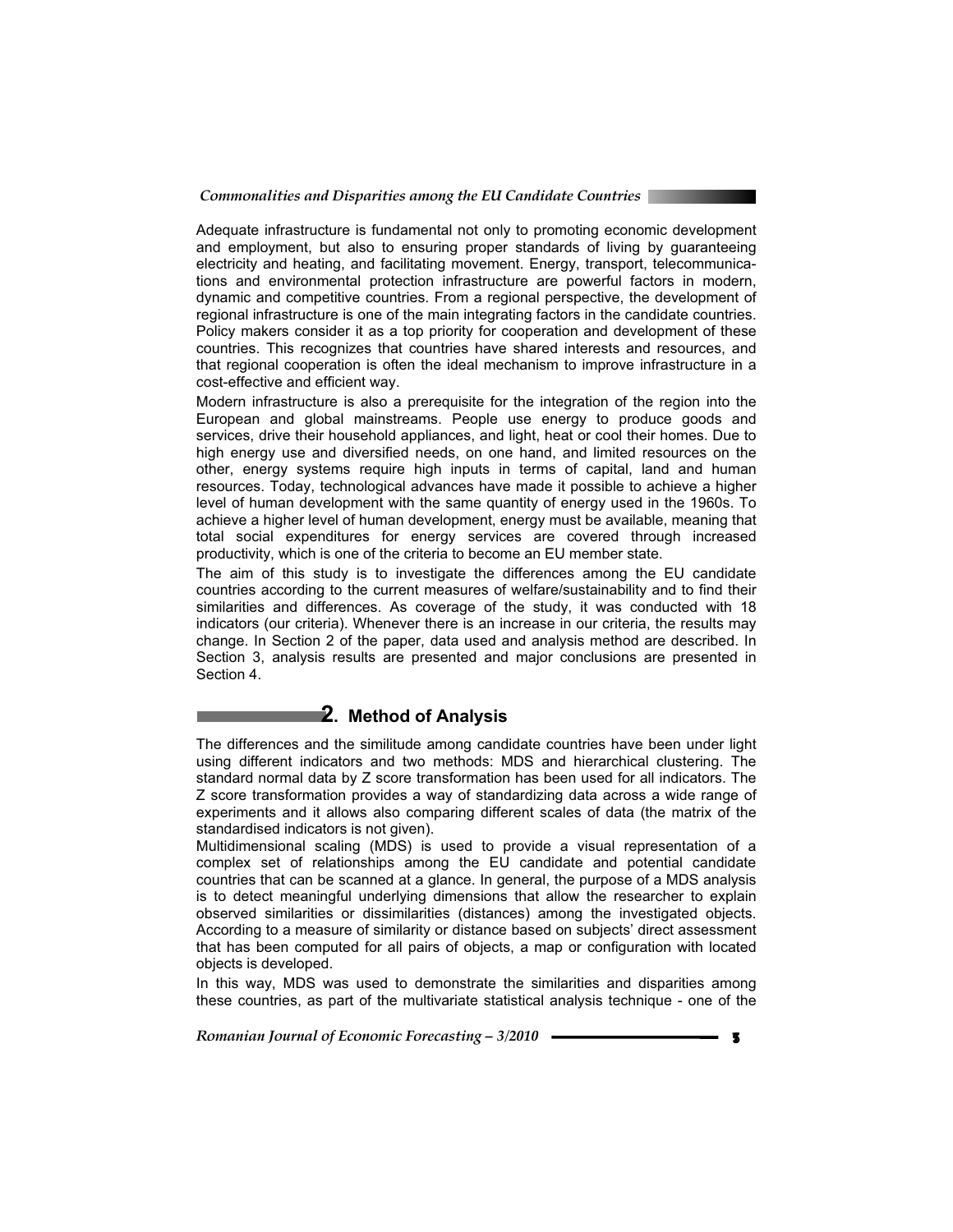*Commonalities and Disparities among the EU Candidate Countries* 

Adequate infrastructure is fundamental not only to promoting economic development and employment, but also to ensuring proper standards of living by guaranteeing electricity and heating, and facilitating movement. Energy, transport, telecommunications and environmental protection infrastructure are powerful factors in modern, dynamic and competitive countries. From a regional perspective, the development of regional infrastructure is one of the main integrating factors in the candidate countries. Policy makers consider it as a top priority for cooperation and development of these countries. This recognizes that countries have shared interests and resources, and that regional cooperation is often the ideal mechanism to improve infrastructure in a cost-effective and efficient way.

Modern infrastructure is also a prerequisite for the integration of the region into the European and global mainstreams. People use energy to produce goods and services, drive their household appliances, and light, heat or cool their homes. Due to high energy use and diversified needs, on one hand, and limited resources on the other, energy systems require high inputs in terms of capital, land and human resources. Today, technological advances have made it possible to achieve a higher level of human development with the same quantity of energy used in the 1960s. To achieve a higher level of human development, energy must be available, meaning that total social expenditures for energy services are covered through increased productivity, which is one of the criteria to become an EU member state.

The aim of this study is to investigate the differences among the EU candidate countries according to the current measures of welfare/sustainability and to find their similarities and differences. As coverage of the study, it was conducted with 18 indicators (our criteria). Whenever there is an increase in our criteria, the results may change. In Section 2 of the paper, data used and analysis method are described. In Section 3, analysis results are presented and major conclusions are presented in Section 4.

#### **2. Method of Analysis**

The differences and the similitude among candidate countries have been under light using different indicators and two methods: MDS and hierarchical clustering. The standard normal data by Z score transformation has been used for all indicators. The Z score transformation provides a way of standardizing data across a wide range of experiments and it allows also comparing different scales of data (the matrix of the standardised indicators is not given).

Multidimensional scaling (MDS) is used to provide a visual representation of a complex set of relationships among the EU candidate and potential candidate countries that can be scanned at a glance. In general, the purpose of a MDS analysis is to detect meaningful underlying dimensions that allow the researcher to explain observed similarities or dissimilarities (distances) among the investigated objects. According to a measure of similarity or distance based on subjects' direct assessment that has been computed for all pairs of objects, a map or configuration with located objects is developed.

In this way, MDS was used to demonstrate the similarities and disparities among these countries, as part of the multivariate statistical analysis technique - one of the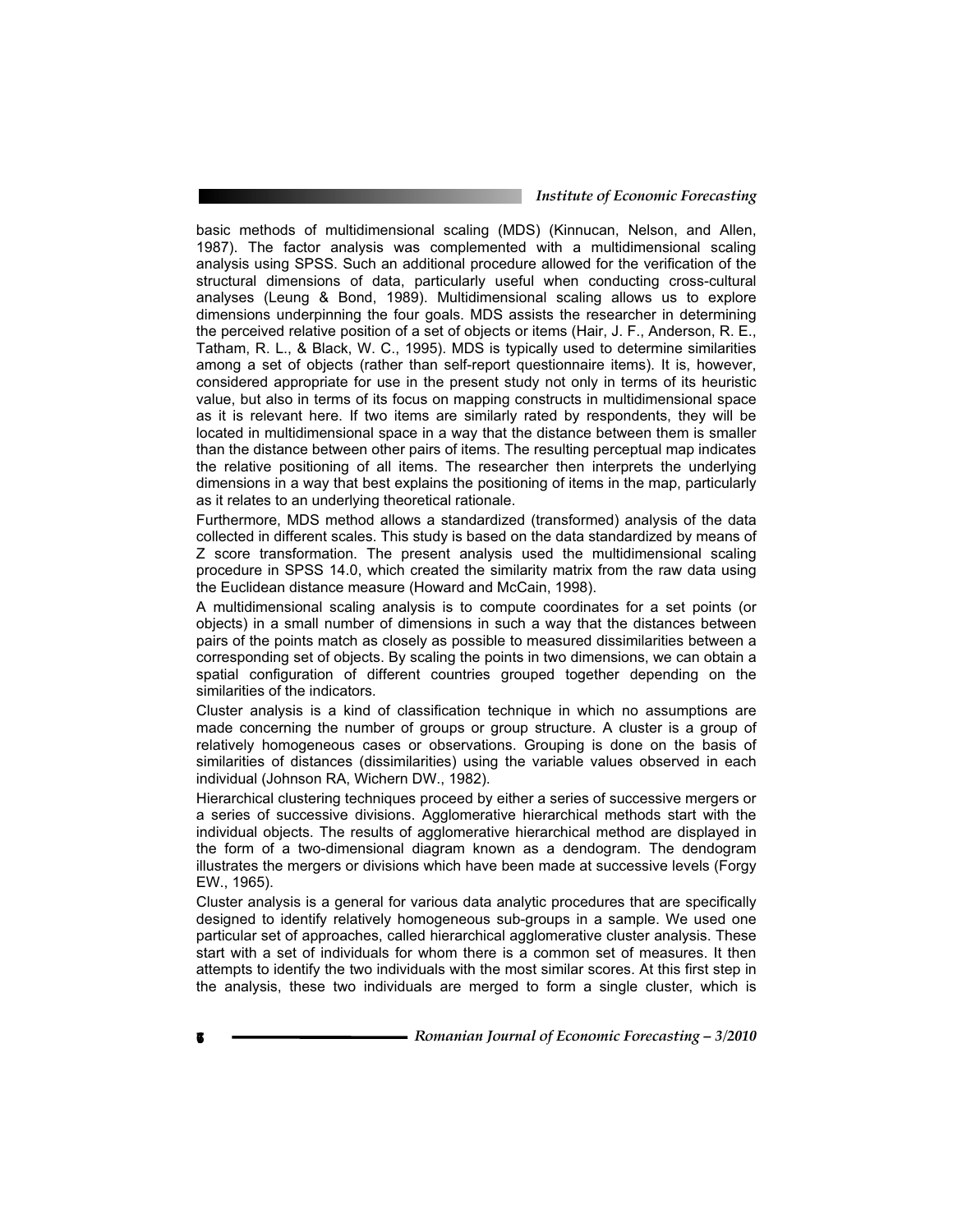*Institute of Economic Forecasting*

basic methods of multidimensional scaling (MDS) (Kinnucan, Nelson, and Allen, 1987). The factor analysis was complemented with a multidimensional scaling analysis using SPSS. Such an additional procedure allowed for the verification of the structural dimensions of data, particularly useful when conducting cross-cultural analyses (Leung & Bond, 1989). Multidimensional scaling allows us to explore dimensions underpinning the four goals. MDS assists the researcher in determining the perceived relative position of a set of objects or items (Hair, J. F., Anderson, R. E., Tatham, R. L., & Black, W. C., 1995). MDS is typically used to determine similarities among a set of objects (rather than self-report questionnaire items). It is, however, considered appropriate for use in the present study not only in terms of its heuristic value, but also in terms of its focus on mapping constructs in multidimensional space as it is relevant here. If two items are similarly rated by respondents, they will be located in multidimensional space in a way that the distance between them is smaller than the distance between other pairs of items. The resulting perceptual map indicates the relative positioning of all items. The researcher then interprets the underlying dimensions in a way that best explains the positioning of items in the map, particularly as it relates to an underlying theoretical rationale.

Furthermore, MDS method allows a standardized (transformed) analysis of the data collected in different scales. This study is based on the data standardized by means of Z score transformation. The present analysis used the multidimensional scaling procedure in SPSS 14.0, which created the similarity matrix from the raw data using the Euclidean distance measure (Howard and McCain, 1998).

A multidimensional scaling analysis is to compute coordinates for a set points (or objects) in a small number of dimensions in such a way that the distances between pairs of the points match as closely as possible to measured dissimilarities between a corresponding set of objects. By scaling the points in two dimensions, we can obtain a spatial configuration of different countries grouped together depending on the similarities of the indicators.

Cluster analysis is a kind of classification technique in which no assumptions are made concerning the number of groups or group structure. A cluster is a group of relatively homogeneous cases or observations. Grouping is done on the basis of similarities of distances (dissimilarities) using the variable values observed in each individual (Johnson RA, Wichern DW., 1982).

Hierarchical clustering techniques proceed by either a series of successive mergers or a series of successive divisions. Agglomerative hierarchical methods start with the individual objects. The results of agglomerative hierarchical method are displayed in the form of a two-dimensional diagram known as a dendogram. The dendogram illustrates the mergers or divisions which have been made at successive levels (Forgy EW., 1965).

Cluster analysis is a general for various data analytic procedures that are specifically designed to identify relatively homogeneous sub-groups in a sample. We used one particular set of approaches, called hierarchical agglomerative cluster analysis. These start with a set of individuals for whom there is a common set of measures. It then attempts to identify the two individuals with the most similar scores. At this first step in the analysis, these two individuals are merged to form a single cluster, which is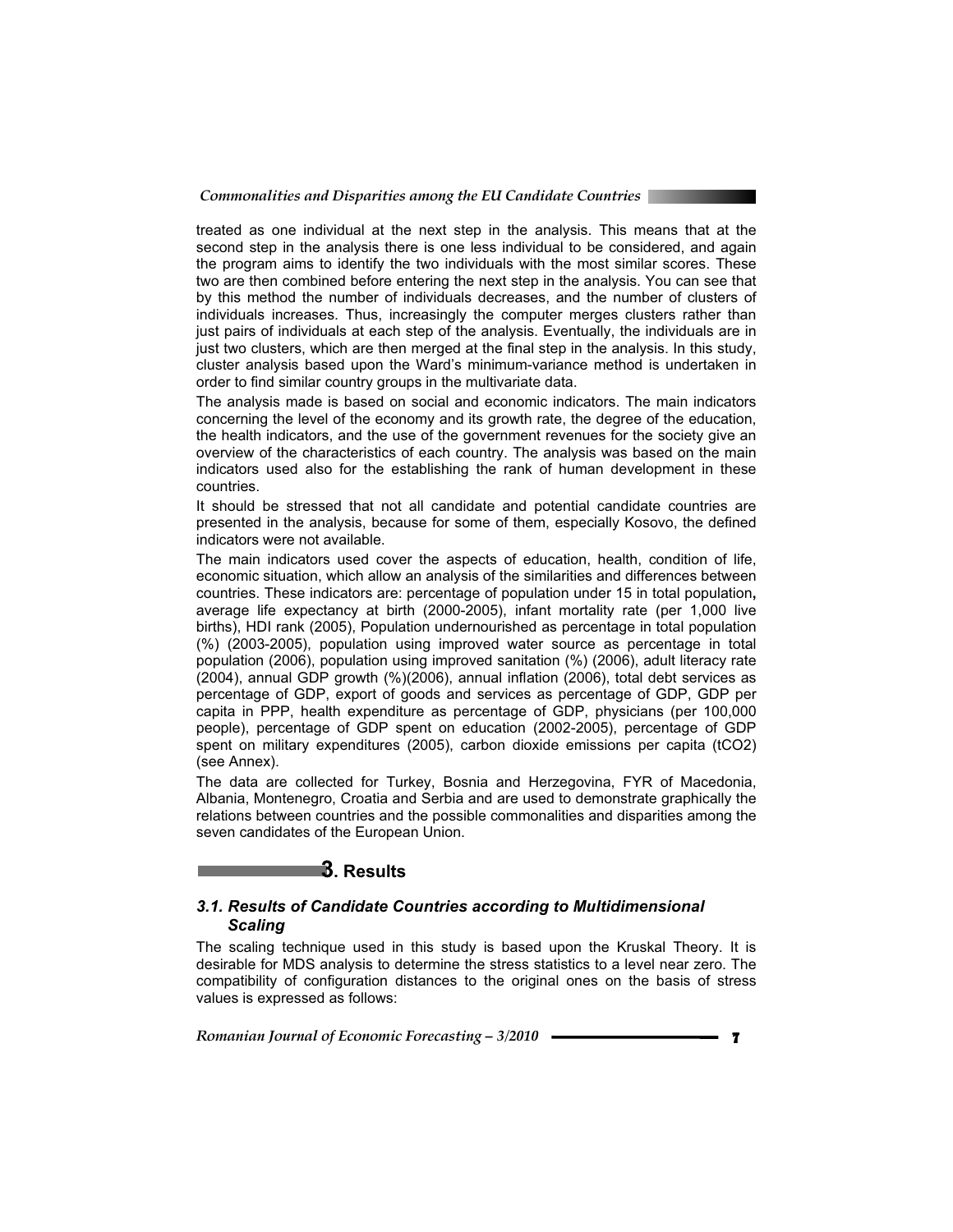treated as one individual at the next step in the analysis. This means that at the second step in the analysis there is one less individual to be considered, and again the program aims to identify the two individuals with the most similar scores. These two are then combined before entering the next step in the analysis. You can see that by this method the number of individuals decreases, and the number of clusters of individuals increases. Thus, increasingly the computer merges clusters rather than just pairs of individuals at each step of the analysis. Eventually, the individuals are in just two clusters, which are then merged at the final step in the analysis. In this study, cluster analysis based upon the Ward's minimum-variance method is undertaken in order to find similar country groups in the multivariate data.

The analysis made is based on social and economic indicators. The main indicators concerning the level of the economy and its growth rate, the degree of the education, the health indicators, and the use of the government revenues for the society give an overview of the characteristics of each country. The analysis was based on the main indicators used also for the establishing the rank of human development in these countries.

It should be stressed that not all candidate and potential candidate countries are presented in the analysis, because for some of them, especially Kosovo, the defined indicators were not available.

The main indicators used cover the aspects of education, health, condition of life, economic situation, which allow an analysis of the similarities and differences between countries. These indicators are: percentage of population under 15 in total population**,** average life expectancy at birth (2000-2005), infant mortality rate (per 1,000 live births), HDI rank (2005), Population undernourished as percentage in total population (%) (2003-2005), population using improved water source as percentage in total population (2006), population using improved sanitation (%) (2006), adult literacy rate (2004), annual GDP growth (%)(2006), annual inflation (2006), total debt services as percentage of GDP, export of goods and services as percentage of GDP, GDP per capita in PPP, health expenditure as percentage of GDP, physicians (per 100,000 people), percentage of GDP spent on education (2002-2005), percentage of GDP spent on military expenditures (2005), carbon dioxide emissions per capita (tCO2) (see Annex).

The data are collected for Turkey, Bosnia and Herzegovina, FYR of Macedonia, Albania, Montenegro, Croatia and Serbia and are used to demonstrate graphically the relations between countries and the possible commonalities and disparities among the seven candidates of the European Union.

#### **3. Results**

#### *3.1. Results of Candidate Countries according to Multidimensional Scaling*

The scaling technique used in this study is based upon the Kruskal Theory. It is desirable for MDS analysis to determine the stress statistics to a level near zero. The compatibility of configuration distances to the original ones on the basis of stress values is expressed as follows: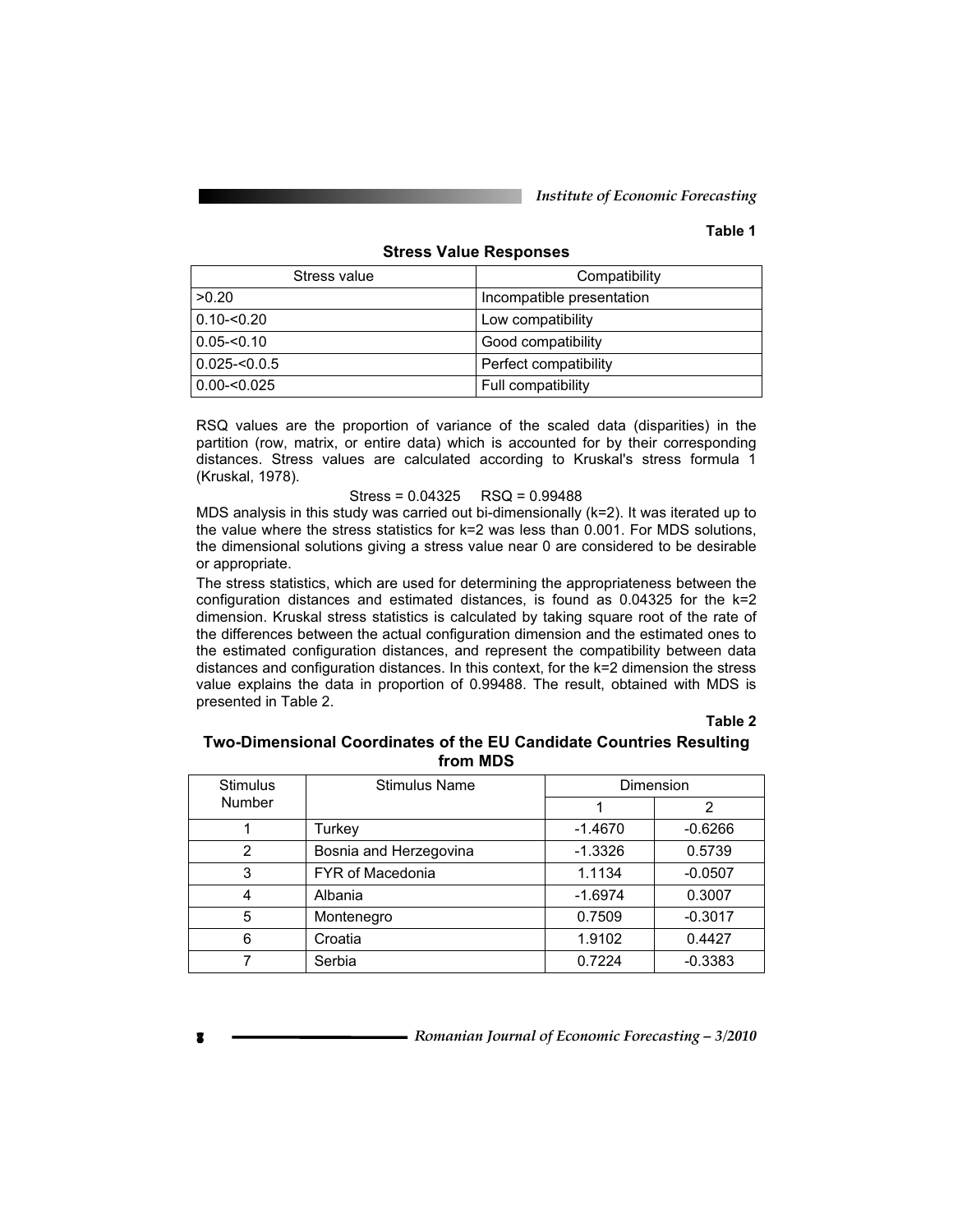*Institute of Economic Forecasting*

#### **Table 1**

## **Stress Value Responses**

| Stress value   | Compatibility             |
|----------------|---------------------------|
| >0.20          | Incompatible presentation |
| $0.10 - 0.20$  | Low compatibility         |
| ∣ 0.05-<0.10   | Good compatibility        |
| 0.025-<0.0.5   | Perfect compatibility     |
| $ 0.00<$ 0.025 | Full compatibility        |

RSQ values are the proportion of variance of the scaled data (disparities) in the partition (row, matrix, or entire data) which is accounted for by their corresponding distances. Stress values are calculated according to Kruskal's stress formula 1 (Kruskal, 1978).

#### Stress = 0.04325 RSQ = 0.99488

MDS analysis in this study was carried out bi-dimensionally (k=2). It was iterated up to the value where the stress statistics for k=2 was less than 0.001. For MDS solutions, the dimensional solutions giving a stress value near 0 are considered to be desirable or appropriate.

The stress statistics, which are used for determining the appropriateness between the configuration distances and estimated distances, is found as  $0.04325$  for the  $k=2$ dimension. Kruskal stress statistics is calculated by taking square root of the rate of the differences between the actual configuration dimension and the estimated ones to the estimated configuration distances, and represent the compatibility between data distances and configuration distances. In this context, for the k=2 dimension the stress value explains the data in proportion of 0.99488. The result, obtained with MDS is presented in Table 2.

#### **Table 2**

#### **Two-Dimensional Coordinates of the EU Candidate Countries Resulting from MDS**

| <b>Stimulus</b> | Stimulus Name           |           | Dimension |
|-----------------|-------------------------|-----------|-----------|
| Number          |                         |           | 2         |
|                 | Turkev                  | $-1.4670$ | $-0.6266$ |
| $\mathcal{P}$   | Bosnia and Herzegovina  | $-1.3326$ | 0.5739    |
| 3               | <b>FYR of Macedonia</b> | 1.1134    | $-0.0507$ |
| 4               | Albania                 | $-1.6974$ | 0.3007    |
| 5               | Montenegro              | 0.7509    | $-0.3017$ |
| 6               | Croatia                 | 1.9102    | 0.4427    |
|                 | Serbia                  | 0.7224    | $-0.3383$ |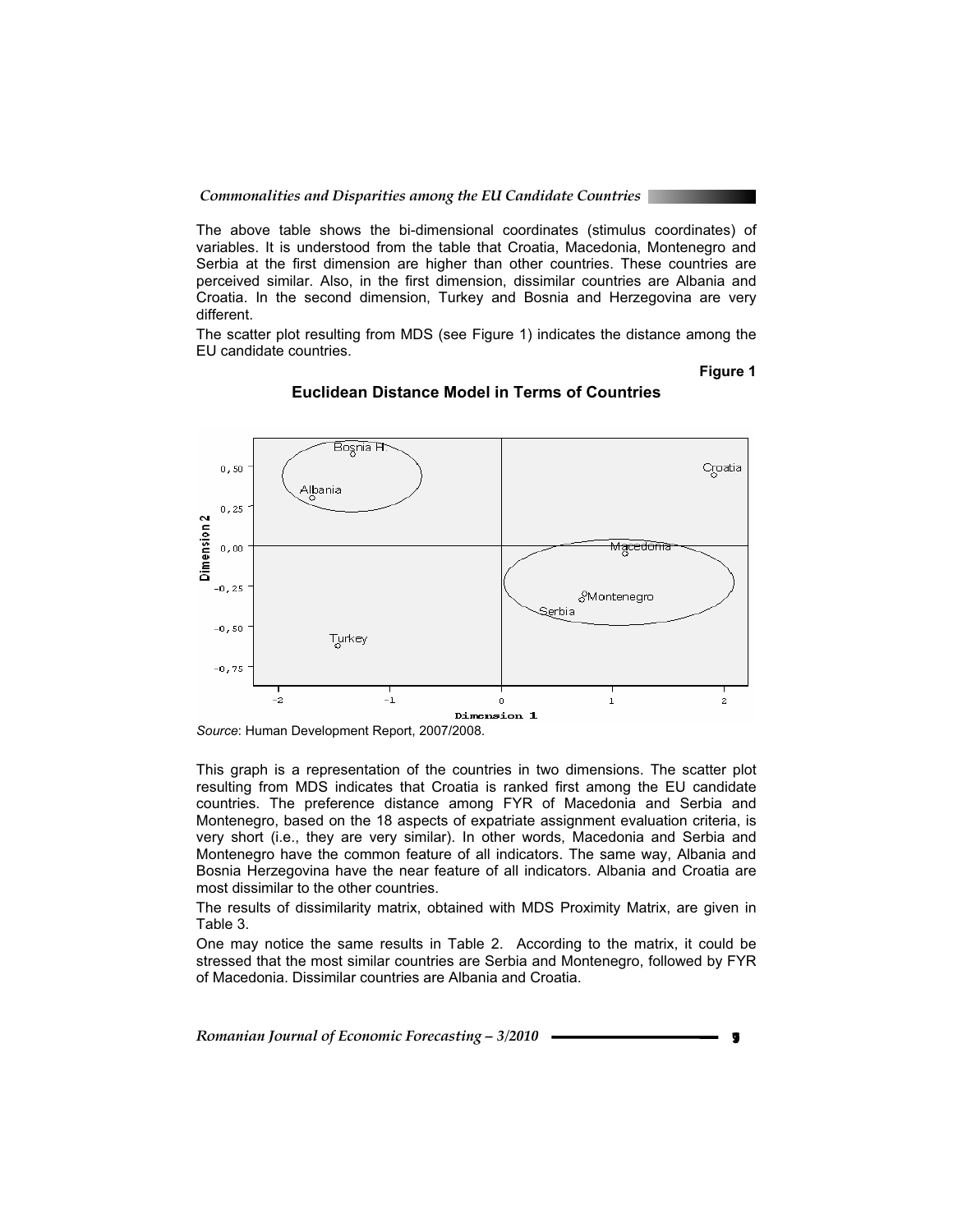The above table shows the bi-dimensional coordinates (stimulus coordinates) of variables. It is understood from the table that Croatia, Macedonia, Montenegro and Serbia at the first dimension are higher than other countries. These countries are perceived similar. Also, in the first dimension, dissimilar countries are Albania and Croatia. In the second dimension, Turkey and Bosnia and Herzegovina are very different.

The scatter plot resulting from MDS (see Figure 1) indicates the distance among the EU candidate countries.

#### **Figure 1**



#### **Euclidean Distance Model in Terms of Countries**

*Source*: Human Development Report, 2007/2008.

This graph is a representation of the countries in two dimensions. The scatter plot resulting from MDS indicates that Croatia is ranked first among the EU candidate countries. The preference distance among FYR of Macedonia and Serbia and Montenegro, based on the 18 aspects of expatriate assignment evaluation criteria, is very short (i.e., they are very similar). In other words, Macedonia and Serbia and Montenegro have the common feature of all indicators. The same way, Albania and Bosnia Herzegovina have the near feature of all indicators. Albania and Croatia are most dissimilar to the other countries.

The results of dissimilarity matrix, obtained with MDS Proximity Matrix, are given in Table 3.

One may notice the same results in Table 2. According to the matrix, it could be stressed that the most similar countries are Serbia and Montenegro, followed by FYR of Macedonia. Dissimilar countries are Albania and Croatia.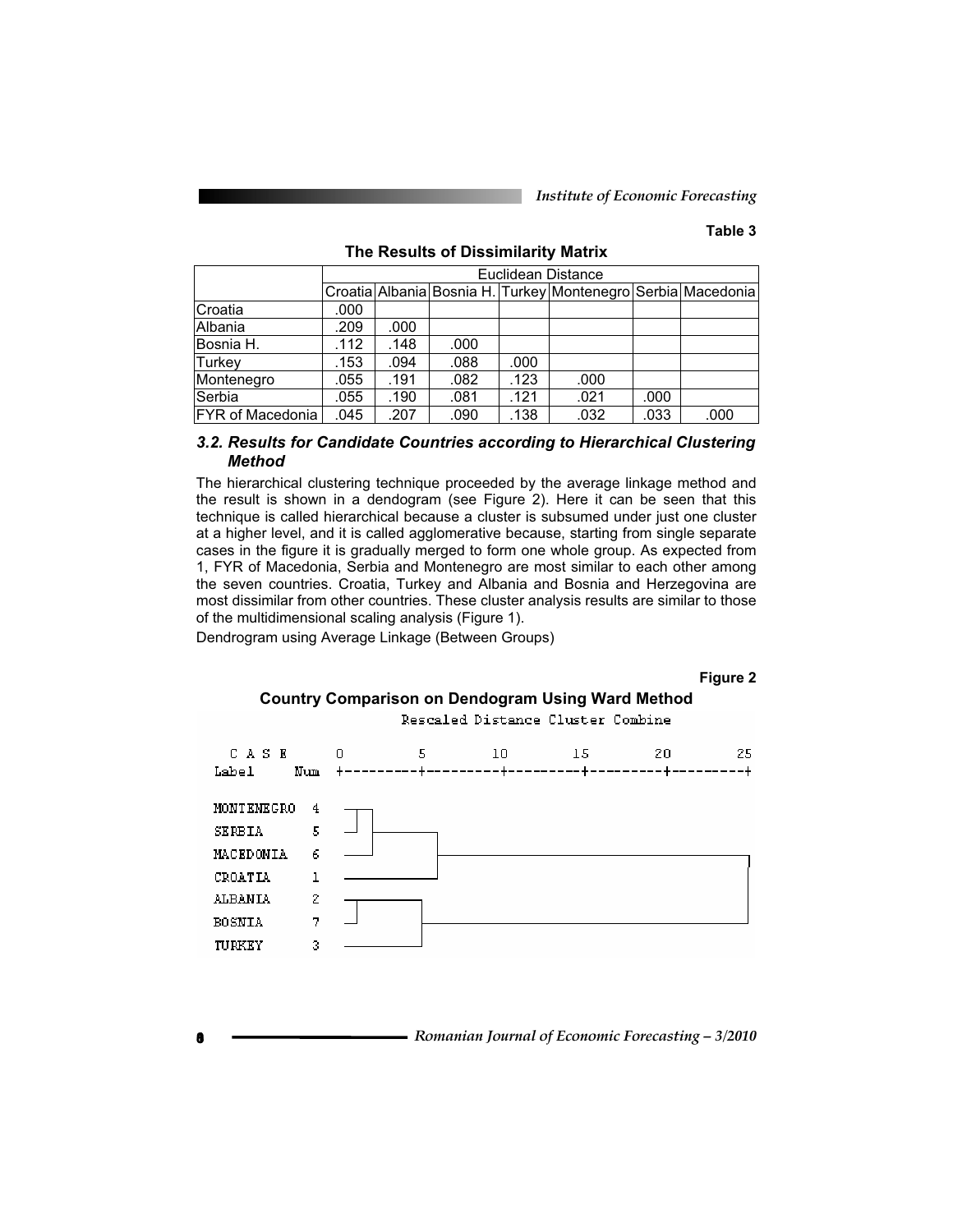#### **Table 3**

|                         |      |      |      |      | Euclidean Distance                                           |      |      |
|-------------------------|------|------|------|------|--------------------------------------------------------------|------|------|
|                         |      |      |      |      | Croatia Albania Bosnia H. Turkey Montenegro Serbia Macedonia |      |      |
| <b>Croatia</b>          | .000 |      |      |      |                                                              |      |      |
| Albania                 | .209 | .000 |      |      |                                                              |      |      |
| Bosnia H.               | .112 | .148 | .000 |      |                                                              |      |      |
| Turkey                  | .153 | .094 | .088 | .000 |                                                              |      |      |
| Montenegro              | .055 | .191 | .082 | .123 | .000                                                         |      |      |
| Serbia                  | .055 | .190 | .081 | .121 | .021                                                         | .000 |      |
| <b>FYR of Macedonia</b> | .045 | .207 | .090 | .138 | .032                                                         | .033 | .000 |

#### **The Results of Dissimilarity Matrix**

#### *3.2. Results for Candidate Countries according to Hierarchical Clustering Method*

The hierarchical clustering technique proceeded by the average linkage method and the result is shown in a dendogram (see Figure 2). Here it can be seen that this technique is called hierarchical because a cluster is subsumed under just one cluster at a higher level, and it is called agglomerative because, starting from single separate cases in the figure it is gradually merged to form one whole group. As expected from 1, FYR of Macedonia, Serbia and Montenegro are most similar to each other among the seven countries. Croatia, Turkey and Albania and Bosnia and Herzegovina are most dissimilar from other countries. These cluster analysis results are similar to those of the multidimensional scaling analysis (Figure 1).

Dendrogram using Average Linkage (Between Groups)

#### **Figure 2**

#### **Country Comparison on Dendogram Using Ward Method**

Rescaled Distance Cluster Combine

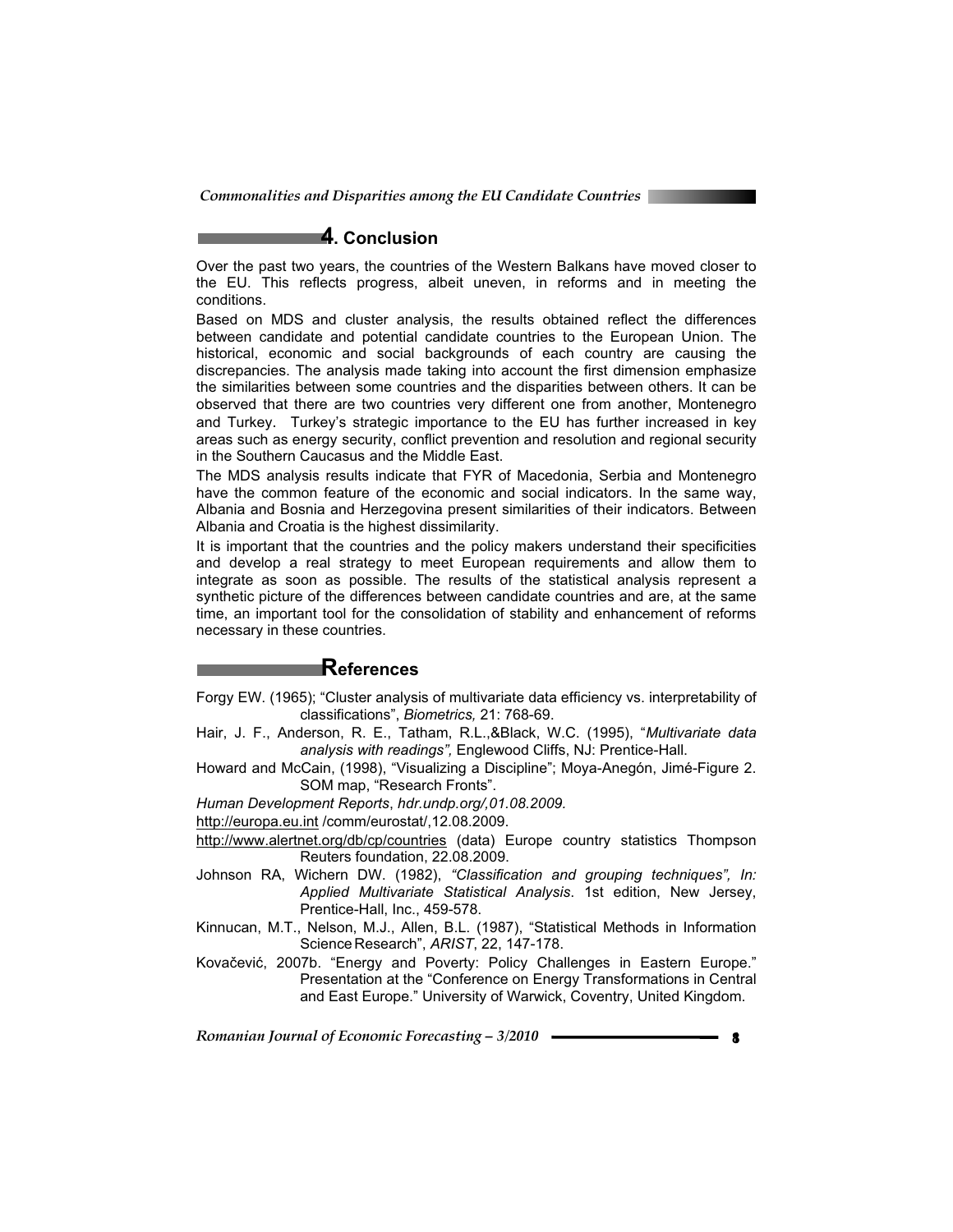### **4. Conclusion**

Over the past two years, the countries of the Western Balkans have moved closer to the EU. This reflects progress, albeit uneven, in reforms and in meeting the conditions.

Based on MDS and cluster analysis, the results obtained reflect the differences between candidate and potential candidate countries to the European Union. The historical, economic and social backgrounds of each country are causing the discrepancies. The analysis made taking into account the first dimension emphasize the similarities between some countries and the disparities between others. It can be observed that there are two countries very different one from another, Montenegro and Turkey. Turkey's strategic importance to the EU has further increased in key areas such as energy security, conflict prevention and resolution and regional security in the Southern Caucasus and the Middle East.

The MDS analysis results indicate that FYR of Macedonia, Serbia and Montenegro have the common feature of the economic and social indicators. In the same way, Albania and Bosnia and Herzegovina present similarities of their indicators. Between Albania and Croatia is the highest dissimilarity.

It is important that the countries and the policy makers understand their specificities and develop a real strategy to meet European requirements and allow them to integrate as soon as possible. The results of the statistical analysis represent a synthetic picture of the differences between candidate countries and are, at the same time, an important tool for the consolidation of stability and enhancement of reforms necessary in these countries.

#### **References**

- Forgy EW. (1965); "Cluster analysis of multivariate data efficiency vs. interpretability of classifications", *Biometrics,* 21: 768-69.
- Hair, J. F., Anderson, R. E., Tatham, R.L.,&Black, W.C. (1995), "*Multivariate data analysis with readings",* Englewood Cliffs, NJ: Prentice-Hall.
- Howard and McCain, (1998), "Visualizing a Discipline"; Moya-Anegón, Jimé-Figure 2. SOM map, "Research Fronts".

*Human Development Reports*, *hdr.undp.org/,01.08.2009.*

http://europa.eu.int /comm/eurostat/,12.08.2009.

- http://www.alertnet.org/db/cp/countries (data) Europe country statistics Thompson Reuters foundation, 22.08.2009.
- Johnson RA, Wichern DW. (1982), *"Classification and grouping techniques", In: Applied Multivariate Statistical Analysis*. 1st edition, New Jersey, Prentice-Hall, Inc., 459-578.
- Kinnucan, M.T., Nelson, M.J., Allen, B.L. (1987), "Statistical Methods in Information Science Research", *ARIST*, 22, 147-178.
- Kovačević, 2007b. "Energy and Poverty: Policy Challenges in Eastern Europe." Presentation at the "Conference on Energy Transformations in Central and East Europe." University of Warwick, Coventry, United Kingdom.

**Romanian Journal of Economic Forecasting – 3/2010 188 <b>188 189 18**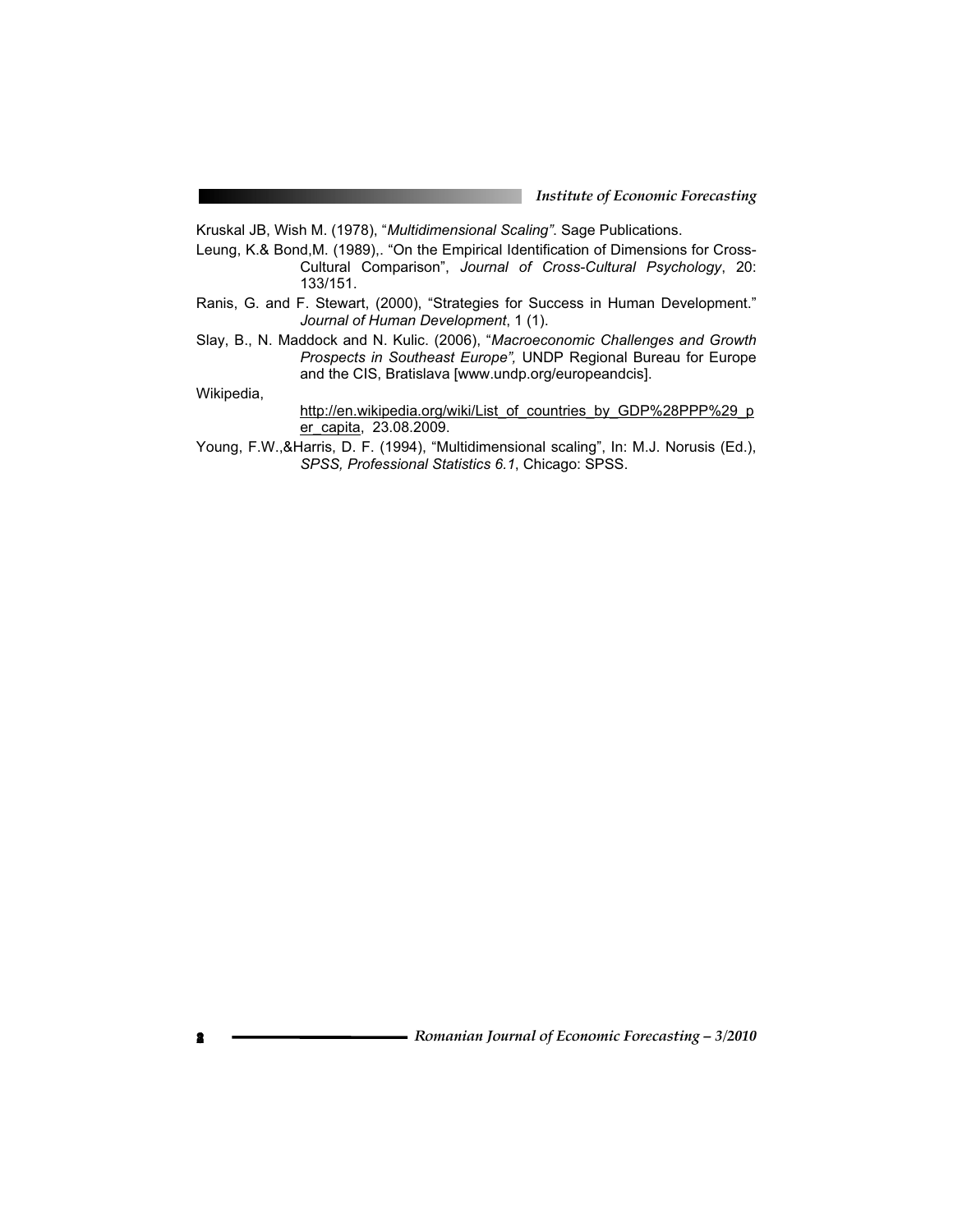Kruskal JB, Wish M. (1978), "*Multidimensional Scaling"*. Sage Publications.

- Leung, K.& Bond, M. (1989),. "On the Empirical Identification of Dimensions for Cross-Cultural Comparison", *Journal of Cross-Cultural Psychology*, 20: 133/151.
- Ranis, G. and F. Stewart, (2000), "Strategies for Success in Human Development." *Journal of Human Development*, 1 (1).
- Slay, B., N. Maddock and N. Kulic. (2006), "*Macroeconomic Challenges and Growth Prospects in Southeast Europe",* UNDP Regional Bureau for Europe and the CIS, Bratislava [www.undp.org/europeandcis].

Wikipedia,

#### http://en.wikipedia.org/wiki/List\_of\_countries\_by\_GDP%28PPP%29\_p er\_capita, 23.08.2009.

Young, F.W.,&Harris, D. F. (1994), "Multidimensional scaling", In: M.J. Norusis (Ed.), *SPSS, Professional Statistics 6.1*, Chicago: SPSS.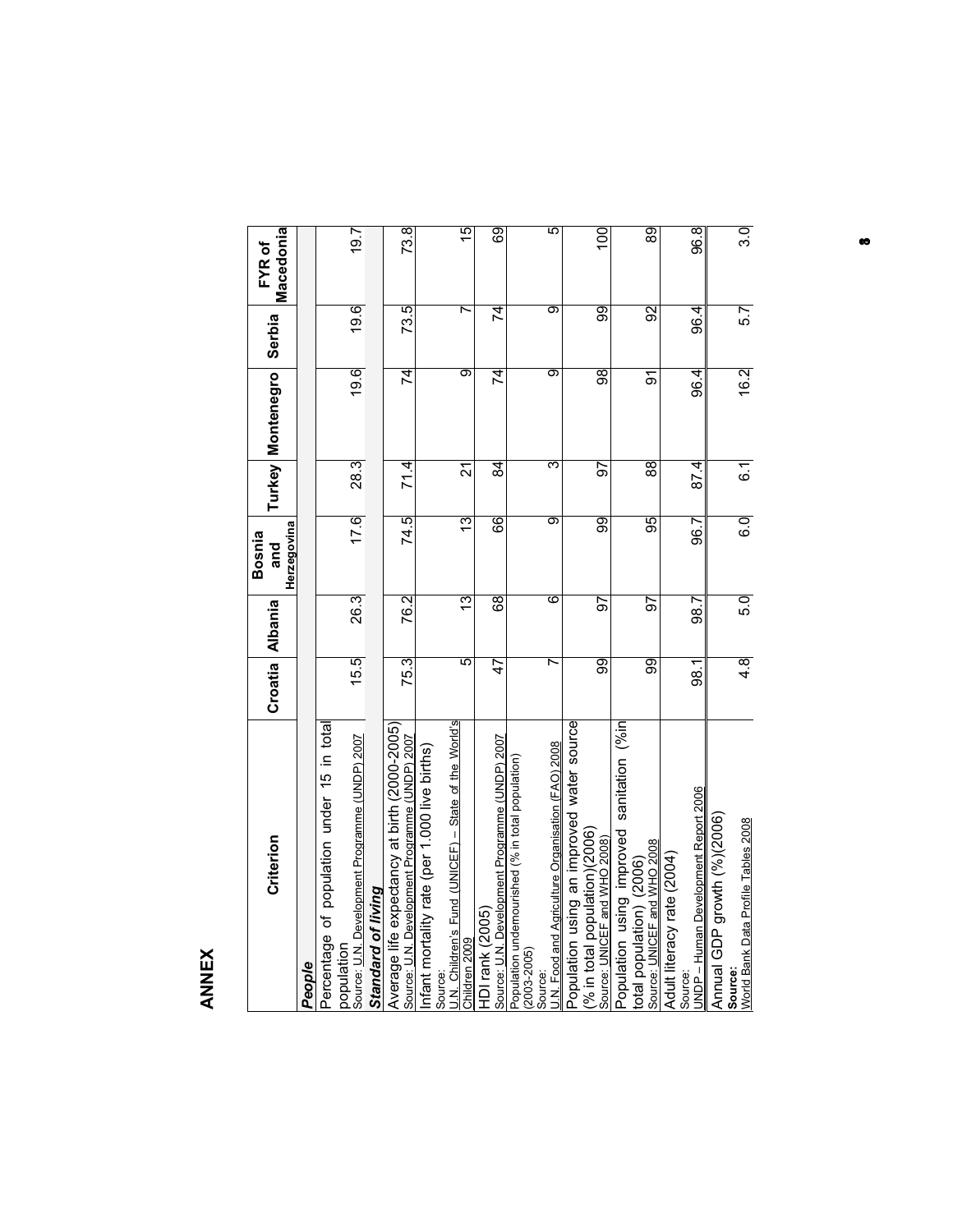# **ANNEX**

| Criterion                                                                                      |      | Croatia Albania | Herzegovina<br>Bosnia<br>and |                   | Turkey   Montenegro | Serbia | Macedonia<br>FYR of |
|------------------------------------------------------------------------------------------------|------|-----------------|------------------------------|-------------------|---------------------|--------|---------------------|
| People                                                                                         |      |                 |                              |                   |                     |        |                     |
| Percentage of population under 15 in total                                                     |      |                 |                              |                   |                     |        |                     |
| Source: U.N. Development Programme (UNDP) 2007<br>population                                   | 15.5 | 26.3            | 17.6                         | 28.3              | 19.6                | 19.6   | 19.7                |
| Standard of living                                                                             |      |                 |                              |                   |                     |        |                     |
| Average life expectancy at birth (2000-2005)<br>Source: U.N. Development Programme (UNDP) 2007 | 75.3 | 76.2            | 74.5                         | 71.4              | त्र                 | 73.5   | 73.8                |
| Infant mortality rate (per 1.000 live births)                                                  |      |                 |                              |                   |                     |        |                     |
| J.N. Children's Fund (UNICEF) - State of the World's<br>Source:                                |      |                 |                              |                   |                     |        |                     |
| Children 2009                                                                                  | 5    | <u>უ</u>        | 13                           | 21                | ಕಾ                  | r      | 15                  |
| Source: U.N. Development Programme (UNDP) 2007<br>HDI rank (2005)                              | 47   | ତ୍ଷେ            | 66                           | $\overline{4}$    | $\overline{4}$      | 74     | ශි                  |
| Population undernourished (% in total population)<br>$(2003 - 2005)$                           |      |                 |                              |                   |                     |        |                     |
| Source:                                                                                        |      |                 |                              |                   |                     |        |                     |
| U.N. Food and Agriculture Organisation (FAO) 2008                                              | r    | 6               | ಹ                            | ᠊ᢅ                | ൭                   | ൭      | ᡖ                   |
| Population using an improved water source                                                      |      |                 |                              |                   |                     |        |                     |
| $\frac{9}{6}$ in total population)(2006)<br>Source: UNICEF and WHO 2008)                       | 99   | 57              | ဓ္တ                          | 57                | $\overline{8}$      | 99     | $\overline{5}$      |
| Population using improved sanitation (%in                                                      |      |                 |                              |                   |                     |        |                     |
| total population) (2006)                                                                       |      |                 |                              |                   |                     |        |                     |
| Source: UNICEF and WHO 2008                                                                    | 99   | 55              | 95                           | $\overline{8}$    | 5                   | 92     | $\overline{8}$      |
| Adult literacy rate (2004)                                                                     |      |                 |                              |                   |                     |        |                     |
| UNDP – Human Development Report 2006<br>Source:                                                | 98.1 | 98.7            | 96.7                         | $\overline{87.4}$ | 96.4                | 96.4   | 96.8                |
| Annual GDP growth (%)(2006)                                                                    |      |                 |                              |                   |                     |        |                     |
| Source:                                                                                        |      |                 |                              |                   |                     |        |                     |
| World Bank Data Profile Tables 2008                                                            | 4.8  | 5.0             | $\overline{6.0}$             | 6.1               | 16.2                | 5.7    | 3.0                 |

**183**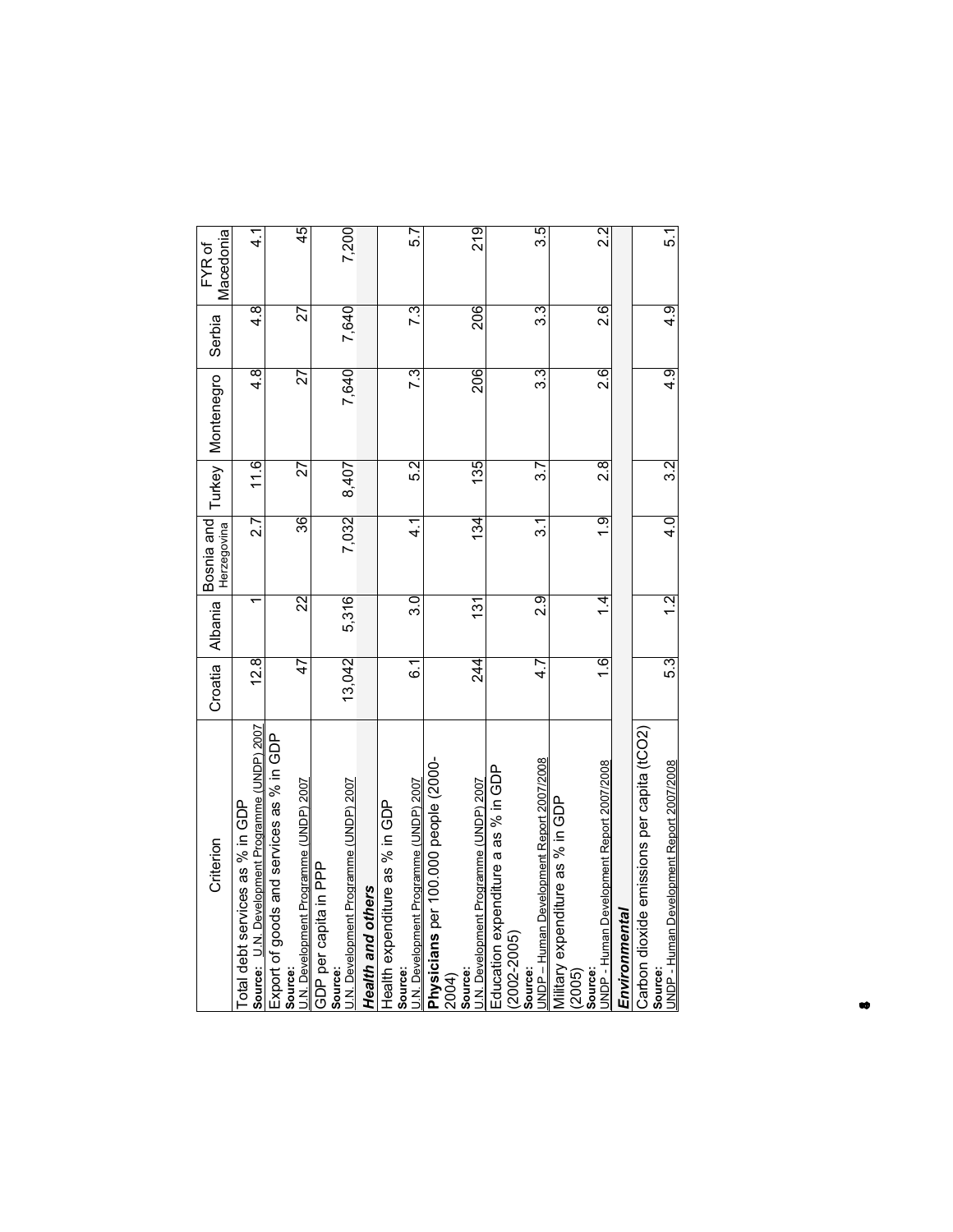| Criterion                                                                         | Croatia         |                         | Herzegovina      |                  | Albania Bosnia and Turkey Montenegro | Serbia   | Macedonia<br>FYR of |
|-----------------------------------------------------------------------------------|-----------------|-------------------------|------------------|------------------|--------------------------------------|----------|---------------------|
| Source: U.N. Development Programme (UNDP) 2007<br>Total debt services as % in GDP | 12.8            |                         | $\overline{2.7}$ | 11.6             | $\frac{8}{4}$                        | 4.8      | $\frac{1}{4}$       |
| Export of goods and services as % in GDP                                          |                 |                         |                  |                  |                                      |          |                     |
| U.N. Development Programme (UNDP) 2007<br>Source:                                 | 47              | $\overline{\mathbb{Z}}$ | 36               | 27               | 27                                   | 27       | 45                  |
| GDP per capita in PPP                                                             |                 |                         |                  |                  |                                      |          |                     |
| J.N. Development Programme (UNDP) 2007<br>Source:                                 | 13,042          | 5,316                   | 7,032            | 8,407            | 7,640                                | 7,640    | 7,200               |
| Health and others                                                                 |                 |                         |                  |                  |                                      |          |                     |
| Health expenditure as % in GDP                                                    |                 |                         |                  |                  |                                      |          |                     |
| J.N. Development Programme (UNDP) 2007<br>Source:                                 | $\overline{6}$  | 3.0                     | $\frac{1}{4}$    | 5.2              | 7.3                                  | 7.3      | 5.7                 |
| Physicians per 100.000 people (200-                                               |                 |                         |                  |                  |                                      |          |                     |
| Source:<br>2004)                                                                  |                 |                         |                  |                  |                                      |          |                     |
| U.N. Development Programme (UNDP) 2007                                            | $\overline{24}$ | 131                     | $\frac{134}{5}$  | 135              | 206                                  | 206      | 219                 |
| Education expenditure a as % in GDP                                               |                 |                         |                  |                  |                                      |          |                     |
| $(2002 - 2005)$                                                                   |                 |                         |                  |                  |                                      |          |                     |
| UNDP - Human Development Report 2007/2008<br><b>Source:</b>                       | 4.7             | $\frac{1}{2}$           | $\overline{31}$  | <u>გ7</u>        | 33                                   | 3.3      | 3.5                 |
| Military expenditure as % in GDP<br>(2005)                                        |                 |                         |                  |                  |                                      |          |                     |
| Source:                                                                           |                 |                         |                  |                  |                                      |          |                     |
| UNDP - Human Development Report 2007/2008                                         | $\frac{6}{1}$   | न्                      | $\frac{1}{2}$    | $\frac{8}{2}$    | $\overline{2.6}$                     | 2.6      | $\frac{2}{3}$       |
| Environmental                                                                     |                 |                         |                  |                  |                                      |          |                     |
| Carbon dioxide emissions per capita (tCO2)                                        |                 |                         |                  |                  |                                      |          |                     |
| JNDP - Human Development Report 2007/2008<br>Source:                              | 5.3             | $\frac{1}{2}$           | $\frac{1}{4}$    | $\overline{3.2}$ | $\frac{1}{9}$                        | এ<br>4.9 | 5.1                 |
|                                                                                   |                 |                         |                  |                  |                                      |          |                     |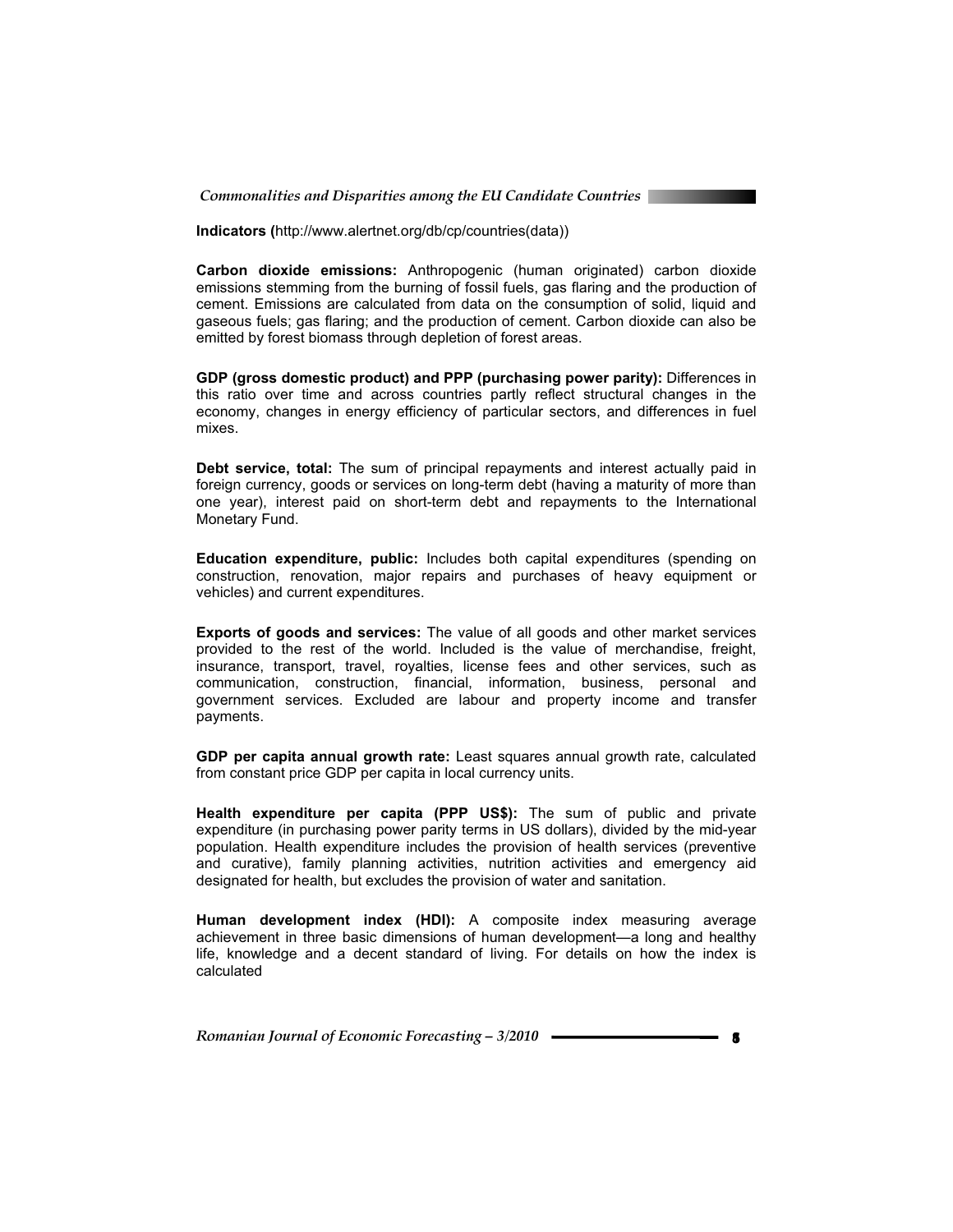*Commonalities and Disparities among the EU Candidate Countries* 

**Indicators (**http://www.alertnet.org/db/cp/countries(data))

**Carbon dioxide emissions:** Anthropogenic (human originated) carbon dioxide emissions stemming from the burning of fossil fuels, gas flaring and the production of cement. Emissions are calculated from data on the consumption of solid, liquid and gaseous fuels; gas flaring; and the production of cement. Carbon dioxide can also be emitted by forest biomass through depletion of forest areas.

**GDP (gross domestic product) and PPP (purchasing power parity):** Differences in this ratio over time and across countries partly reflect structural changes in the economy, changes in energy efficiency of particular sectors, and differences in fuel mixes.

**Debt service, total:** The sum of principal repayments and interest actually paid in foreign currency, goods or services on long-term debt (having a maturity of more than one year), interest paid on short-term debt and repayments to the International Monetary Fund.

**Education expenditure, public:** Includes both capital expenditures (spending on construction, renovation, major repairs and purchases of heavy equipment or vehicles) and current expenditures.

**Exports of goods and services:** The value of all goods and other market services provided to the rest of the world. Included is the value of merchandise, freight, insurance, transport, travel, royalties, license fees and other services, such as communication, construction, financial, information, business, personal and government services. Excluded are labour and property income and transfer payments.

**GDP per capita annual growth rate:** Least squares annual growth rate, calculated from constant price GDP per capita in local currency units.

**Health expenditure per capita (PPP US\$):** The sum of public and private expenditure (in purchasing power parity terms in US dollars), divided by the mid-year population. Health expenditure includes the provision of health services (preventive and curative), family planning activities, nutrition activities and emergency aid designated for health, but excludes the provision of water and sanitation.

**Human development index (HDI):** A composite index measuring average achievement in three basic dimensions of human development—a long and healthy life, knowledge and a decent standard of living. For details on how the index is calculated

**Romanian Journal of Economic Forecasting – 3/2010 – The Constant of Strategies 3**